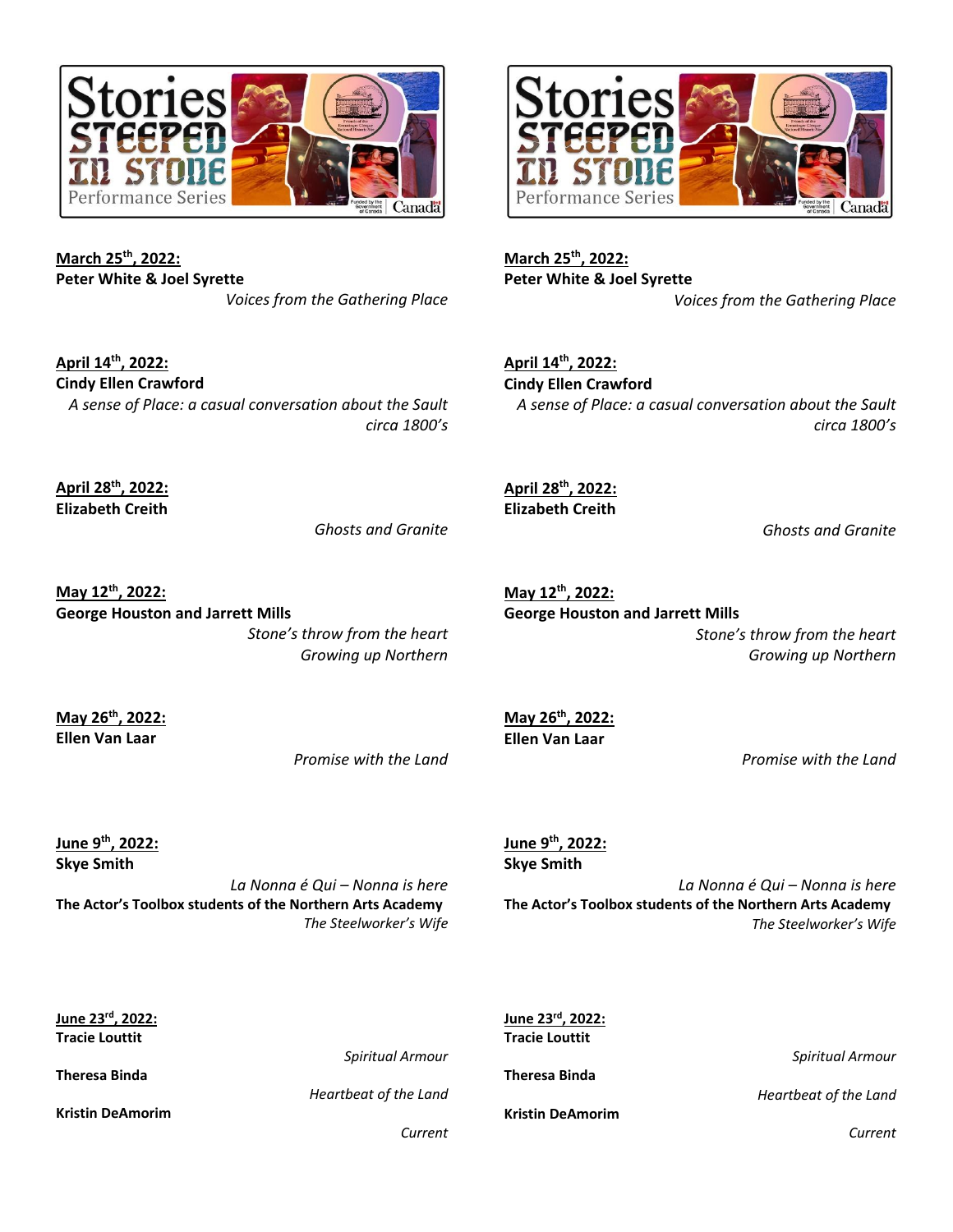

**March 25th, 2022: Peter White & Joel Syrette** *Voices from the Gathering Place*

**April 14th, 2022: Cindy Ellen Crawford** *A sense of Place: a casual conversation about the Sault circa 1800's*

**April 28th, 2022: Elizabeth Creith**

*Ghosts and Granite*

**May 12th, 2022: George Houston and Jarrett Mills** *Stone's throw from the heart Growing up Northern*

**May 26th, 2022: Ellen Van Laar**

*Promise with the Land*

**June 9th, 2022: Skye Smith**

*La Nonna é Qui – Nonna is here* **The Actor's Toolbox students of the Northern Arts Academy** *The Steelworker's Wife*



**March 25th, 2022: Peter White & Joel Syrette** *Voices from the Gathering Place*

**April 14th, 2022: Cindy Ellen Crawford** *A sense of Place: a casual conversation about the Sault circa 1800's*

**April 28th, 2022: Elizabeth Creith**

*Ghosts and Granite*

**May 12th, 2022: George Houston and Jarrett Mills** *Stone's throw from the heart Growing up Northern*

**May 26th, 2022: Ellen Van Laar**

*Promise with the Land*

**June 9th, 2022: Skye Smith**

*La Nonna é Qui – Nonna is here* **The Actor's Toolbox students of the Northern Arts Academy** *The Steelworker's Wife*

| June 23 <sup>rd</sup> , 2022: |                         | June 23rd, 2022:        |                         |
|-------------------------------|-------------------------|-------------------------|-------------------------|
| <b>Tracie Louttit</b>         |                         | <b>Tracie Louttit</b>   |                         |
|                               | <b>Spiritual Armour</b> |                         | <b>Spiritual Armour</b> |
| <b>Theresa Binda</b>          |                         | <b>Theresa Binda</b>    |                         |
|                               | Heartbeat of the Land   |                         | Heartbeat of the Land   |
| <b>Kristin DeAmorim</b>       |                         | <b>Kristin DeAmorim</b> |                         |
|                               | Current                 |                         | Current                 |